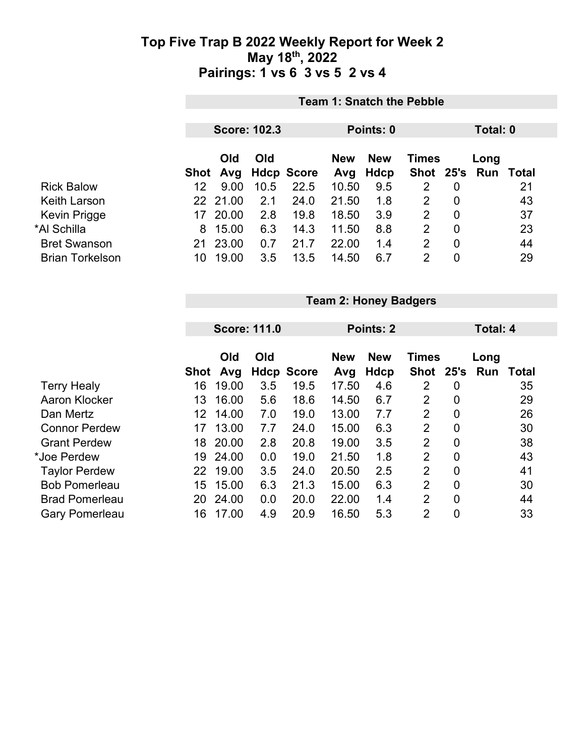|                        |      | <b>Team 1: Snatch the Pebble</b> |      |                   |            |            |                |                |                     |          |  |  |
|------------------------|------|----------------------------------|------|-------------------|------------|------------|----------------|----------------|---------------------|----------|--|--|
|                        |      | <b>Score: 102.3</b>              |      |                   |            | Points: 0  |                |                |                     | Total: 0 |  |  |
|                        |      | <b>Old</b>                       | Old  |                   | <b>New</b> | <b>New</b> | <b>Times</b>   |                | Long                |          |  |  |
|                        | Shot | Avg                              |      | <b>Hdcp Score</b> | Avg        | Hdcp       |                |                | Shot 25's Run Total |          |  |  |
| <b>Rick Balow</b>      | 12   | 9.00                             | 10.5 | 22.5              | 10.50      | 9.5        | $\overline{2}$ | $\overline{0}$ |                     | 21       |  |  |
| Keith Larson           |      | 22 21.00                         | 2.1  | 24.0              | 21.50      | 1.8        | 2              | 0              |                     | 43       |  |  |
| Kevin Prigge           | 17   | 20.00                            | 2.8  | 19.8              | 18.50      | 3.9        | 2              | 0              |                     | 37       |  |  |
| *Al Schilla            | 8    | 15.00                            | 6.3  | 14.3              | 11.50      | 8.8        | 2              | 0              |                     | 23       |  |  |
| <b>Bret Swanson</b>    | 21   | 23.00                            | 0.7  | 21.7              | 22.00      | 1.4        | 2              | 0              |                     | 44       |  |  |
| <b>Brian Torkelson</b> | 10   | 19.00                            | 3.5  | 13.5              | 14.50      | 6.7        | 2              | 0              |                     | 29       |  |  |

|                       |             | <b>Team 2: Honey Badgers</b> |                     |                   |            |                 |                |                |      |       |  |  |  |
|-----------------------|-------------|------------------------------|---------------------|-------------------|------------|-----------------|----------------|----------------|------|-------|--|--|--|
|                       |             |                              |                     |                   |            |                 |                |                |      |       |  |  |  |
|                       |             |                              | <b>Score: 111.0</b> |                   | Points: 2  | <b>Total: 4</b> |                |                |      |       |  |  |  |
|                       |             |                              |                     |                   |            |                 |                |                |      |       |  |  |  |
|                       |             | Old                          | Old                 |                   | <b>New</b> | <b>New</b>      | <b>Times</b>   |                | Long |       |  |  |  |
|                       | <b>Shot</b> | Avg                          |                     | <b>Hdcp Score</b> | Avg        | <b>Hdcp</b>     | Shot 25's      |                | Run  | Total |  |  |  |
| <b>Terry Healy</b>    | 16          | 19.00                        | 3.5                 | 19.5              | 17.50      | 4.6             | 2              | 0              |      | 35    |  |  |  |
| Aaron Klocker         | 13          | 16.00                        | 5.6                 | 18.6              | 14.50      | 6.7             | 2              | $\mathbf 0$    |      | 29    |  |  |  |
| Dan Mertz             | 12          | 14.00                        | 7.0                 | 19.0              | 13.00      | 7.7             | $\overline{2}$ | $\mathbf 0$    |      | 26    |  |  |  |
| <b>Connor Perdew</b>  | 17          | 13.00                        | 7.7                 | 24.0              | 15.00      | 6.3             | $\overline{2}$ | $\overline{0}$ |      | 30    |  |  |  |
| <b>Grant Perdew</b>   | 18          | 20.00                        | 2.8                 | 20.8              | 19.00      | 3.5             | $\overline{2}$ | $\mathbf 0$    |      | 38    |  |  |  |
| *Joe Perdew           | 19          | 24.00                        | 0.0                 | 19.0              | 21.50      | 1.8             | $\overline{2}$ | $\mathbf 0$    |      | 43    |  |  |  |
| <b>Taylor Perdew</b>  | 22          | 19.00                        | 3.5                 | 24.0              | 20.50      | 2.5             | $\overline{2}$ | $\overline{0}$ |      | 41    |  |  |  |
| <b>Bob Pomerleau</b>  | 15          | 15.00                        | 6.3                 | 21.3              | 15.00      | 6.3             | $\overline{2}$ | $\mathbf 0$    |      | 30    |  |  |  |
| <b>Brad Pomerleau</b> | 20          | 24.00                        | 0.0                 | 20.0              | 22.00      | 1.4             | 2              | $\mathbf 0$    |      | 44    |  |  |  |
| <b>Gary Pomerleau</b> | 16          | 17.00                        | 4.9                 | 20.9              | 16.50      | 5.3             | $\overline{2}$ | $\mathbf 0$    |      | 33    |  |  |  |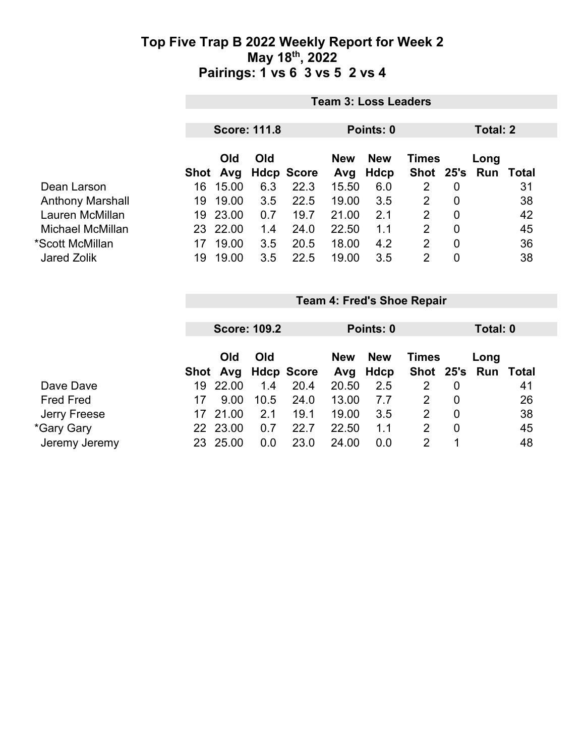|                         | <b>Team 3: Loss Leaders</b> |                 |     |                   |                   |                    |                |                |                             |    |  |
|-------------------------|-----------------------------|-----------------|-----|-------------------|-------------------|--------------------|----------------|----------------|-----------------------------|----|--|
|                         | <b>Score: 111.8</b>         |                 |     |                   | Points: 0         |                    |                |                | Total: 2                    |    |  |
|                         |                             | Old<br>Shot Avg | Old | <b>Hdcp Score</b> | <b>New</b><br>Avg | <b>New</b><br>Hdcp | <b>Times</b>   |                | Long<br>Shot 25's Run Total |    |  |
| Dean Larson             | 16                          | 15.00           | 6.3 | 22.3              | 15.50             | 6.0                | 2              | $\overline{0}$ |                             | 31 |  |
| <b>Anthony Marshall</b> | 19                          | 19.00           | 3.5 | 22.5              | 19.00             | 3.5                | 2              | $\overline{0}$ |                             | 38 |  |
| Lauren McMillan         | 19                          | 23.00           | 0.7 | 19.7              | 21.00             | 2.1                | 2              | 0              |                             | 42 |  |
| Michael McMillan        |                             | 23 22.00        | 1.4 | 24.0              | 22.50             | 1.1                | $\overline{2}$ | $\overline{0}$ |                             | 45 |  |
| *Scott McMillan         | 17                          | 19.00           | 3.5 | 20.5              | 18.00             | 4.2                | $\overline{2}$ | $\overline{0}$ |                             | 36 |  |
| <b>Jared Zolik</b>      | 19                          | 19.00           | 3.5 | 22.5              | 19.00             | 3.5                | $\overline{2}$ | 0              |                             | 38 |  |

|                  |     | <b>Score: 109.2</b> |      |                     |            | Points: 0  |              |   |                     | Total: 0 |  |  |
|------------------|-----|---------------------|------|---------------------|------------|------------|--------------|---|---------------------|----------|--|--|
|                  |     | Old                 | Old  |                     | <b>New</b> | <b>New</b> | <b>Times</b> |   | Long                |          |  |  |
|                  |     |                     |      | Shot Avg Hdcp Score | Avg        | Hdcp       |              |   | Shot 25's Run Total |          |  |  |
| Dave Dave        | 19  | 22.00               | 1.4  | 20.4                | 20.50      | 2.5        |              | 0 |                     | 41       |  |  |
| <b>Fred Fred</b> | 17  | 9.00                | 10.5 | 24.0                | 13.00      | 7.7        | 2            | 0 |                     | 26       |  |  |
| Jerry Freese     | 17  | 21.00               | 2.1  | 19.1                | 19.00      | 3.5        | 2            | 0 |                     | 38       |  |  |
| *Gary Gary       | 22. | 23.00               | 0.7  | 22.7                | 22.50      | 1.1        | 2            | 0 |                     | 45       |  |  |
| Jeremy Jeremy    | 23  | 25.00               | 0.0  | 23.0                | 24.00      | 0.0        | 2            |   |                     | 48       |  |  |

**Team 4: Fred's Shoe Repair**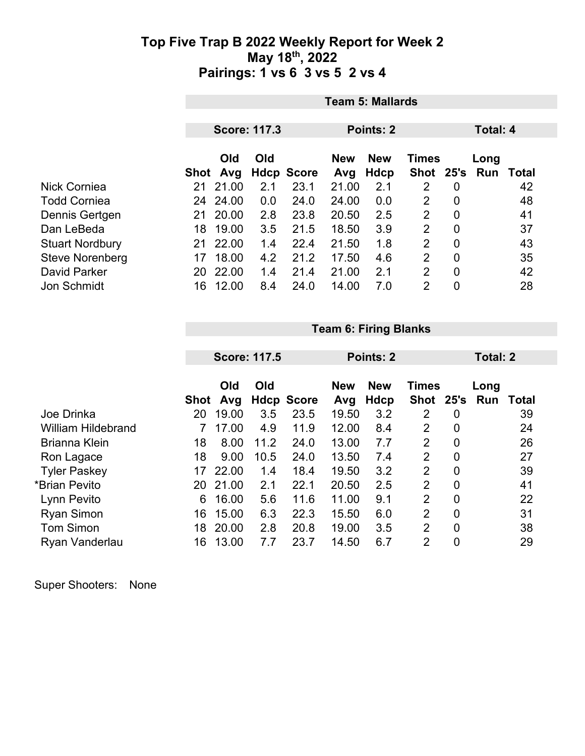|                        | <b>Team 5: Mallards</b> |       |     |                   |            |             |                |                |      |       |  |
|------------------------|-------------------------|-------|-----|-------------------|------------|-------------|----------------|----------------|------|-------|--|
|                        |                         |       |     |                   |            | Points: 2   |                | Total: 4       |      |       |  |
|                        | <b>Score: 117.3</b>     |       |     |                   |            |             |                |                |      |       |  |
|                        |                         | Old   | Old |                   | <b>New</b> | <b>New</b>  | <b>Times</b>   |                | Long |       |  |
|                        | Shot                    | Avg   |     | <b>Hdcp Score</b> | Avg        | <b>Hdcp</b> | <b>Shot</b>    | 25's           | Run  | Total |  |
| <b>Nick Corniea</b>    | 21                      | 21.00 | 2.1 | 23.1              | 21.00      | 2.1         | 2              | 0              |      | 42    |  |
| <b>Todd Corniea</b>    | 24                      | 24.00 | 0.0 | 24.0              | 24.00      | 0.0         | 2              | 0              |      | 48    |  |
| Dennis Gertgen         | 21                      | 20.00 | 2.8 | 23.8              | 20.50      | 2.5         | 2              | $\overline{0}$ |      | 41    |  |
| Dan LeBeda             | 18                      | 19.00 | 3.5 | 21.5              | 18.50      | 3.9         | $\overline{2}$ | $\overline{0}$ |      | 37    |  |
| <b>Stuart Nordbury</b> | 21                      | 22.00 | 1.4 | 22.4              | 21.50      | 1.8         | 2              | 0              |      | 43    |  |
| <b>Steve Norenberg</b> | 17                      | 18.00 | 4.2 | 21.2              | 17.50      | 4.6         | $\overline{2}$ | $\overline{0}$ |      | 35    |  |
| David Parker           | 20                      | 22.00 | 1.4 | 21.4              | 21.00      | 2.1         | 2              | 0              |      | 42    |  |
| <b>Jon Schmidt</b>     | 16                      | 12.00 | 8.4 | 24.0              | 14.00      | 7.0         | $\overline{2}$ | 0              |      | 28    |  |

**Team 6: Firing Blanks**

|                           |             |            | <b>Score: 117.5</b> |                   | Points: 2         |                    | <b>Total: 2</b>           |                |             |       |
|---------------------------|-------------|------------|---------------------|-------------------|-------------------|--------------------|---------------------------|----------------|-------------|-------|
|                           | <b>Shot</b> | Old<br>Avg | Old                 | <b>Hdcp Score</b> | <b>New</b><br>Avg | <b>New</b><br>Hdcp | <b>Times</b><br>Shot 25's |                | Long<br>Run | Total |
| Joe Drinka                | 20          | 19.00      | 3.5                 | 23.5              | 19.50             | 3.2                | 2                         | 0              |             | 39    |
| <b>William Hildebrand</b> |             | 17.00      | 4.9                 | 11.9              | 12.00             | 8.4                | 2                         | 0              |             | 24    |
| <b>Brianna Klein</b>      | 18          | 8.00       | 11.2                | 24.0              | 13.00             | 7.7                | 2                         | 0              |             | 26    |
| Ron Lagace                | 18          | 9.00       | 10.5                | 24.0              | 13.50             | 7.4                | 2                         | 0              |             | 27    |
| <b>Tyler Paskey</b>       | 17          | 22.00      | 1.4                 | 18.4              | 19.50             | 3.2                | 2                         | $\mathbf 0$    |             | 39    |
| *Brian Pevito             | 20          | 21.00      | 2.1                 | 22.1              | 20.50             | 2.5                | 2                         | $\overline{0}$ |             | 41    |
| Lynn Pevito               | 6           | 16.00      | 5.6                 | 11.6              | 11.00             | 9.1                | 2                         | $\mathbf 0$    |             | 22    |
| <b>Ryan Simon</b>         | 16          | 15.00      | 6.3                 | 22.3              | 15.50             | 6.0                | $\overline{2}$            | $\overline{0}$ |             | 31    |
| <b>Tom Simon</b>          | 18          | 20.00      | 2.8                 | 20.8              | 19.00             | 3.5                | 2                         | 0              |             | 38    |
| Ryan Vanderlau            | 16          | 13.00      | 7.7                 | 23.7              | 14.50             | 6.7                | 2                         | $\mathbf 0$    |             | 29    |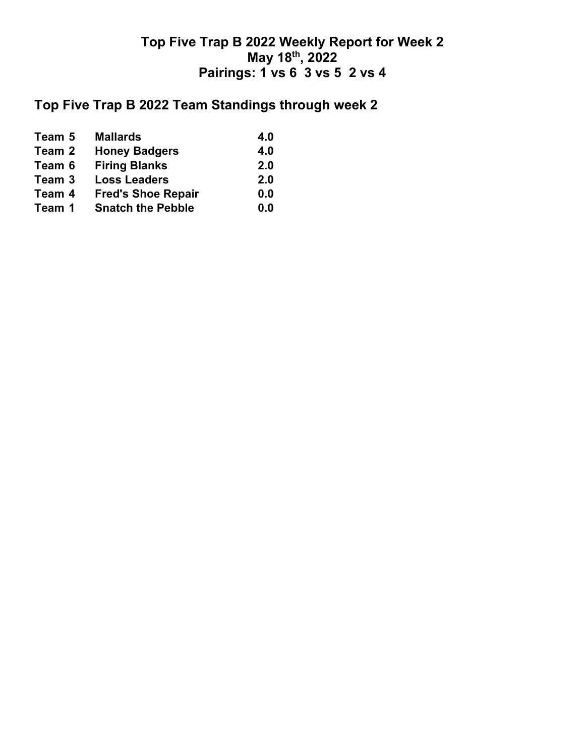# **Top Five Trap B 2022 Team Standings through week 2**

| Team 5 | <b>Mallards</b>           | 4.0 |
|--------|---------------------------|-----|
| Team 2 | <b>Honey Badgers</b>      | 4.0 |
| Team 6 | <b>Firing Blanks</b>      | 2.0 |
| Team 3 | <b>Loss Leaders</b>       | 2.0 |
| Team 4 | <b>Fred's Shoe Repair</b> | 0.0 |
| Team 1 | <b>Snatch the Pebble</b>  | 0.0 |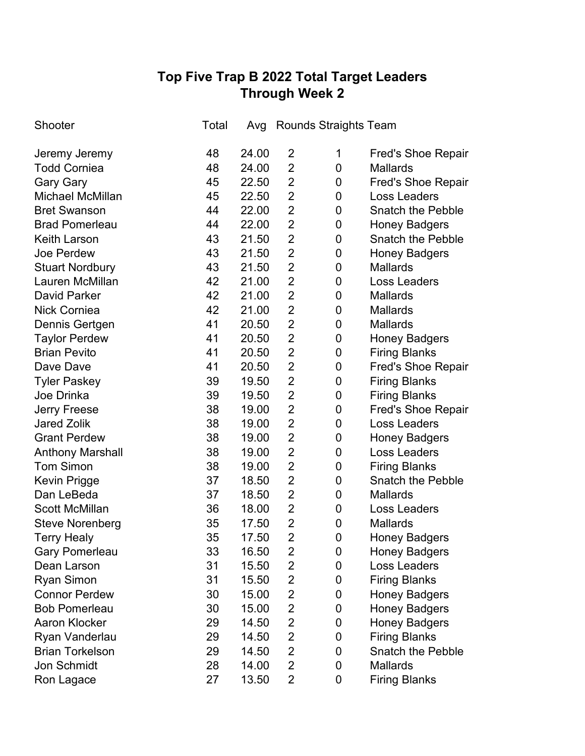# **Top Five Trap B 2022 Total Target Leaders Through Week 2**

| Shooter                 | Total | Avg   |                | <b>Rounds Straights Team</b> |                           |
|-------------------------|-------|-------|----------------|------------------------------|---------------------------|
| Jeremy Jeremy           | 48    | 24.00 | 2              | 1                            | <b>Fred's Shoe Repair</b> |
| <b>Todd Corniea</b>     | 48    | 24.00 | $\overline{2}$ | 0                            | <b>Mallards</b>           |
| <b>Gary Gary</b>        | 45    | 22.50 | $\overline{2}$ | 0                            | <b>Fred's Shoe Repair</b> |
| Michael McMillan        | 45    | 22.50 | $\overline{2}$ | 0                            | Loss Leaders              |
| <b>Bret Swanson</b>     | 44    | 22.00 | $\overline{2}$ | 0                            | <b>Snatch the Pebble</b>  |
| <b>Brad Pomerleau</b>   | 44    | 22.00 | $\overline{2}$ | 0                            | <b>Honey Badgers</b>      |
| <b>Keith Larson</b>     | 43    | 21.50 | $\overline{2}$ | 0                            | <b>Snatch the Pebble</b>  |
| Joe Perdew              | 43    | 21.50 | $\overline{2}$ | 0                            | <b>Honey Badgers</b>      |
| <b>Stuart Nordbury</b>  | 43    | 21.50 | $\overline{2}$ | 0                            | <b>Mallards</b>           |
| Lauren McMillan         | 42    | 21.00 | $\overline{2}$ | 0                            | <b>Loss Leaders</b>       |
| <b>David Parker</b>     | 42    | 21.00 | $\overline{2}$ | 0                            | <b>Mallards</b>           |
| <b>Nick Corniea</b>     | 42    | 21.00 | $\overline{2}$ | 0                            | <b>Mallards</b>           |
| Dennis Gertgen          | 41    | 20.50 | $\overline{2}$ | 0                            | <b>Mallards</b>           |
| <b>Taylor Perdew</b>    | 41    | 20.50 | $\overline{2}$ | 0                            | <b>Honey Badgers</b>      |
| <b>Brian Pevito</b>     | 41    | 20.50 | $\overline{2}$ | 0                            | <b>Firing Blanks</b>      |
| Dave Dave               | 41    | 20.50 | $\overline{2}$ | 0                            | <b>Fred's Shoe Repair</b> |
| <b>Tyler Paskey</b>     | 39    | 19.50 | $\overline{2}$ | 0                            | <b>Firing Blanks</b>      |
| Joe Drinka              | 39    | 19.50 | $\overline{2}$ | 0                            | <b>Firing Blanks</b>      |
| <b>Jerry Freese</b>     | 38    | 19.00 | $\overline{2}$ | 0                            | <b>Fred's Shoe Repair</b> |
| <b>Jared Zolik</b>      | 38    | 19.00 | $\overline{2}$ | 0                            | Loss Leaders              |
| <b>Grant Perdew</b>     | 38    | 19.00 | $\overline{2}$ | 0                            | <b>Honey Badgers</b>      |
| <b>Anthony Marshall</b> | 38    | 19.00 | $\overline{2}$ | 0                            | <b>Loss Leaders</b>       |
| <b>Tom Simon</b>        | 38    | 19.00 | $\overline{2}$ | 0                            | <b>Firing Blanks</b>      |
| <b>Kevin Prigge</b>     | 37    | 18.50 | $\overline{2}$ | 0                            | <b>Snatch the Pebble</b>  |
| Dan LeBeda              | 37    | 18.50 | $\overline{2}$ | 0                            | <b>Mallards</b>           |
| <b>Scott McMillan</b>   | 36    | 18.00 | $\overline{2}$ | 0                            | <b>Loss Leaders</b>       |
| <b>Steve Norenberg</b>  | 35    | 17.50 | $\overline{2}$ | 0                            | <b>Mallards</b>           |
| <b>Terry Healy</b>      | 35    | 17.50 | $\overline{2}$ | 0                            | <b>Honey Badgers</b>      |
| <b>Gary Pomerleau</b>   | 33    | 16.50 | 2              | 0                            | <b>Honey Badgers</b>      |
| Dean Larson             | 31    | 15.50 | $\overline{2}$ | 0                            | <b>Loss Leaders</b>       |
| <b>Ryan Simon</b>       | 31    | 15.50 | $\overline{2}$ | 0                            | <b>Firing Blanks</b>      |
| <b>Connor Perdew</b>    | 30    | 15.00 | $\overline{2}$ | 0                            | <b>Honey Badgers</b>      |
| <b>Bob Pomerleau</b>    | 30    | 15.00 | $\overline{2}$ | 0                            | <b>Honey Badgers</b>      |
| <b>Aaron Klocker</b>    | 29    | 14.50 | $\overline{2}$ | 0                            | <b>Honey Badgers</b>      |
| Ryan Vanderlau          | 29    | 14.50 | $\overline{2}$ | 0                            | <b>Firing Blanks</b>      |
| <b>Brian Torkelson</b>  | 29    | 14.50 | $\overline{2}$ | 0                            | <b>Snatch the Pebble</b>  |
| <b>Jon Schmidt</b>      | 28    | 14.00 | $\overline{2}$ | 0                            | <b>Mallards</b>           |
| Ron Lagace              | 27    | 13.50 | $\overline{2}$ | 0                            | <b>Firing Blanks</b>      |